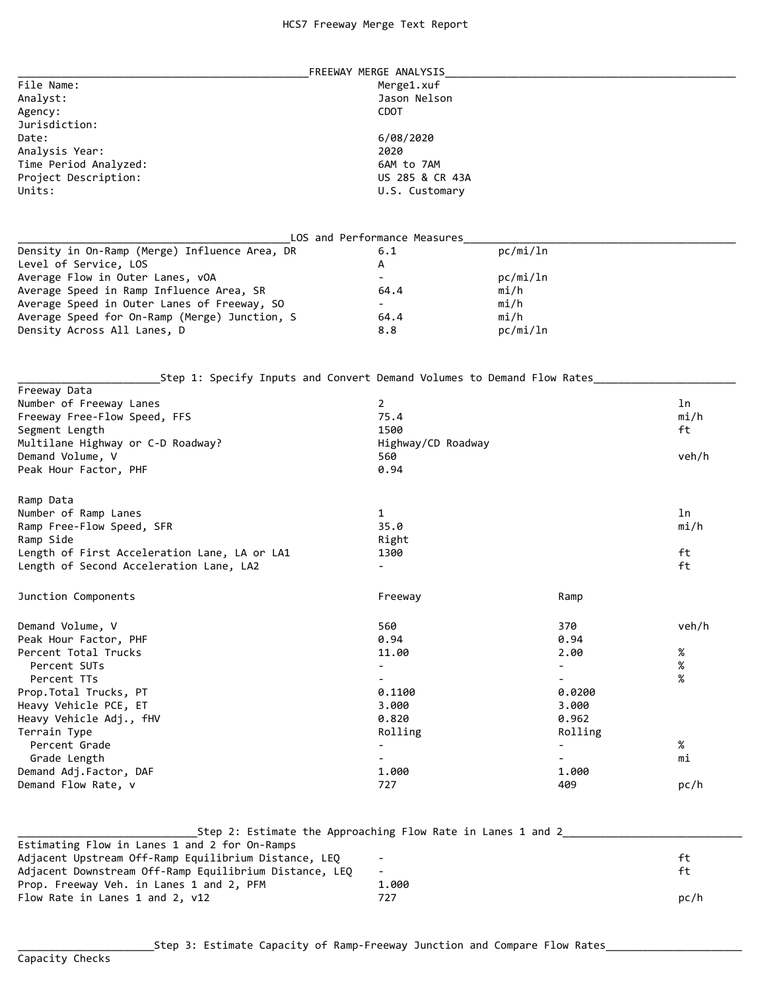| FREEWAY MERGE ANALYSIS                                                                  |                              |          |               |  |
|-----------------------------------------------------------------------------------------|------------------------------|----------|---------------|--|
| File Name:                                                                              | Merge1.xuf                   |          |               |  |
| Analyst:                                                                                | Jason Nelson                 |          |               |  |
| Agency:                                                                                 |                              |          |               |  |
| Jurisdiction:                                                                           |                              |          |               |  |
| Date:                                                                                   | 6/08/2020                    |          |               |  |
| Analysis Year:                                                                          | 2020                         |          |               |  |
| Time Period Analyzed:                                                                   | 6AM to 7AM                   |          |               |  |
| Project Description:                                                                    | US 285 & CR 43A              |          |               |  |
| Units:                                                                                  | U.S. Customary               |          |               |  |
|                                                                                         | LOS and Performance Measures |          |               |  |
| Density in On-Ramp (Merge) Influence Area, DR                                           | 6.1                          | pc/mi/ln |               |  |
| Level of Service, LOS                                                                   | А                            |          |               |  |
| Average Flow in Outer Lanes, vOA                                                        | $\blacksquare$               | pc/mi/ln |               |  |
| Average Speed in Ramp Influence Area, SR                                                | 64.4                         | mi/h     |               |  |
| Average Speed in Outer Lanes of Freeway, SO                                             | $\overline{\phantom{0}}$     | mi/h     |               |  |
| Average Speed for On-Ramp (Merge) Junction, S                                           | 64.4                         | mi/h     |               |  |
| Density Across All Lanes, D                                                             | 8.8                          | pc/mi/ln |               |  |
|                                                                                         |                              |          |               |  |
| Step 1: Specify Inputs and Convert Demand Volumes to Demand Flow Rates_<br>Freeway Data |                              |          |               |  |
| Number of Freeway Lanes                                                                 | 2                            |          | ln            |  |
| Freeway Free-Flow Speed, FFS                                                            | 75.4                         |          | mi/h          |  |
| Segment Length                                                                          | 1500                         |          | ft            |  |
| Multilane Highway or C-D Roadway?                                                       | Highway/CD Roadway           |          |               |  |
| Demand Volume, V                                                                        | 560                          |          | veh/h         |  |
| Peak Hour Factor, PHF                                                                   | 0.94                         |          |               |  |
|                                                                                         |                              |          |               |  |
| Ramp Data                                                                               |                              |          |               |  |
| Number of Ramp Lanes                                                                    | 1                            |          | ln            |  |
| Ramp Free-Flow Speed, SFR                                                               | 35.0                         |          | $m\text{i}/h$ |  |
| Ramp Side                                                                               | Right                        |          |               |  |
| Length of First Acceleration Lane, LA or LA1                                            | 1300                         |          | ft            |  |
| Length of Second Acceleration Lane, LA2                                                 |                              |          | ft            |  |
| Junction Components                                                                     | Freeway                      | Ramp     |               |  |
| Demand Volume, V                                                                        | 560                          | 370      | veh/h         |  |
| Peak Hour Factor, PHF                                                                   | 0.94                         | 0.94     |               |  |
| Percent Total Trucks                                                                    | 11.00                        | 2.00     | $\%$          |  |
| Percent SUTs                                                                            | $\overline{\phantom{a}}$     |          | $\%$          |  |
| Percent TTs                                                                             |                              |          | %             |  |
| Prop.Total Trucks, PT                                                                   | 0.1100                       | 0.0200   |               |  |
| Heavy Vehicle PCE, ET                                                                   | 3.000                        | 3.000    |               |  |
| Heavy Vehicle Adj., fHV                                                                 | 0.820                        | 0.962    |               |  |
| Terrain Type                                                                            | Rolling                      | Rolling  |               |  |
| Percent Grade                                                                           |                              |          | %             |  |
| Grade Length                                                                            |                              |          | mi            |  |
| Demand Adj.Factor, DAF                                                                  | 1.000                        | 1.000    |               |  |
| Demand Flow Rate, v                                                                     | 727                          | 409      | pc/h          |  |

|                                                        | Step 2: Estimate the Approaching Flow Rate in Lanes 1 and 2 |      |
|--------------------------------------------------------|-------------------------------------------------------------|------|
| Estimating Flow in Lanes 1 and 2 for On-Ramps          |                                                             |      |
| Adjacent Upstream Off-Ramp Equilibrium Distance, LEQ   | $\overline{\phantom{a}}$                                    | ft.  |
| Adjacent Downstream Off-Ramp Equilibrium Distance, LEQ | $\overline{\phantom{a}}$                                    | -F+  |
| Prop. Freeway Veh. in Lanes 1 and 2, PFM               | 1.000                                                       |      |
| Flow Rate in Lanes 1 and 2, v12                        | 727                                                         | pc/h |